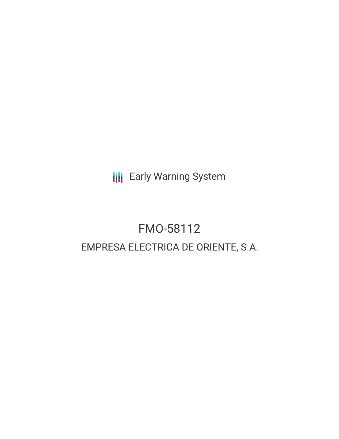**III** Early Warning System

# FMO-58112 EMPRESA ELECTRICA DE ORIENTE, S.A.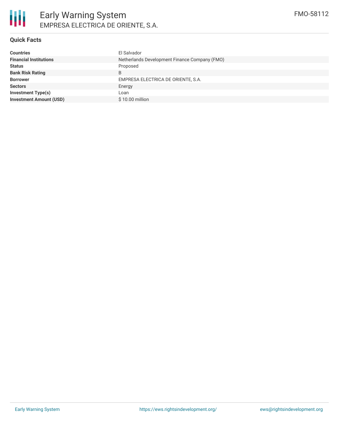# **Quick Facts**

| <b>Countries</b>               | El Salvador                                   |
|--------------------------------|-----------------------------------------------|
| <b>Financial Institutions</b>  | Netherlands Development Finance Company (FMO) |
| <b>Status</b>                  | Proposed                                      |
| <b>Bank Risk Rating</b>        | B                                             |
| <b>Borrower</b>                | EMPRESA ELECTRICA DE ORIENTE, S.A.            |
| <b>Sectors</b>                 | Energy                                        |
| Investment Type(s)             | Loan                                          |
| <b>Investment Amount (USD)</b> | \$10.00 million                               |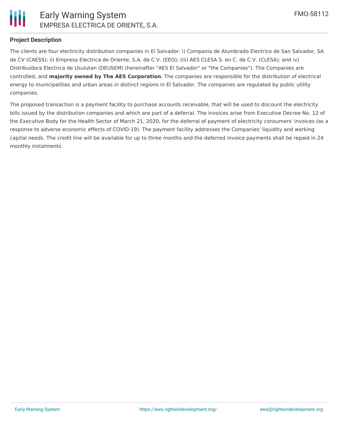

### **Project Description**

The clients are four electricity distribution companies in El Salvador: i) Compania de Alumbrado Electrico de San Salvador, SA de CV (CAESS); ii) Empresa Electrica de Oriente, S.A. de C.V. (EEO); (iii) AES CLESA S. en C. de C.V. (CLESA); and iv) Distribuidora Electrica de Usulutan (DEUSEM) (hereinafter "AES El Salvador" or "the Companies"). The Companies are controlled, and **majority owned by The AES Corporation**. The companies are responsible for the distribution of electrical energy to municipalities and urban areas in distinct regions in El Salvador. The companies are regulated by public utility companies.

The proposed transaction is a payment facility to purchase accounts receivable, that will be used to discount the electricity bills issued by the distribution companies and which are part of a deferral. The invoices arise from Executive Decree No. 12 of the Executive Body for the Health Sector of March 21, 2020, for the deferral of payment of electricity consumers' invoices (as a response to adverse economic effects of COVID-19). The payment facility addresses the Companies' liquidity and working capital needs. The credit line will be available for up to three months and the deferred invoice payments shall be repaid in 24 monthly instalments.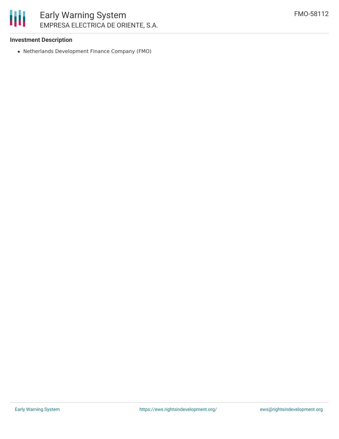

## **Investment Description**

Netherlands Development Finance Company (FMO)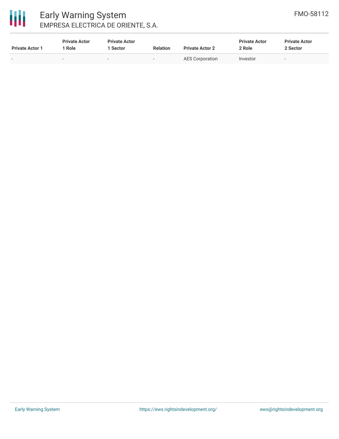| <b>Private Actor 1</b> | <b>Private Actor</b><br>Role | <b>Private Actor</b><br>1 Sector | <b>Relation</b>          | <b>Private Actor 2</b> | <b>Private Actor</b><br>2 Role | <b>Private Actor</b><br>2 Sector |
|------------------------|------------------------------|----------------------------------|--------------------------|------------------------|--------------------------------|----------------------------------|
|                        | -                            | $\sim$                           | $\overline{\phantom{0}}$ | AES Corporation        | Investor                       |                                  |